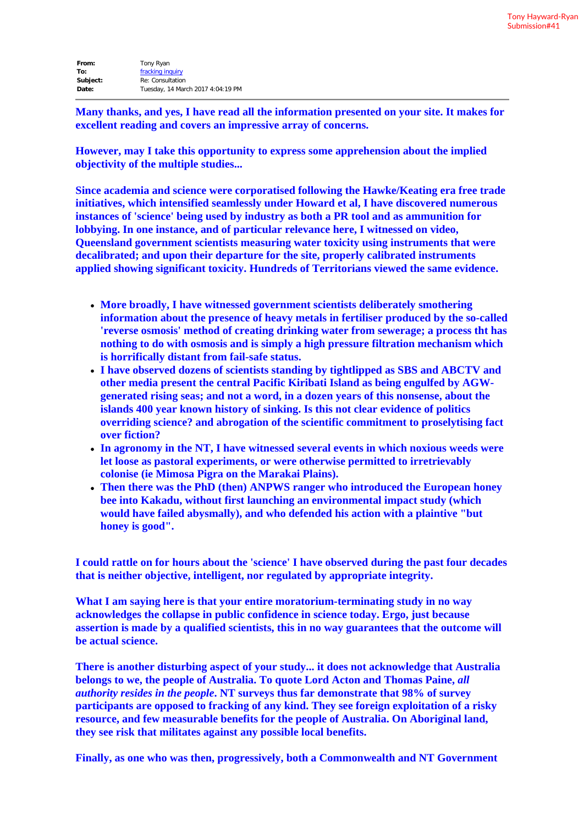| Tony Ryan                         |
|-----------------------------------|
| fracking inquiry                  |
| Re: Consultation                  |
| Tuesday, 14 March 2017 4:04:19 PM |
|                                   |

**Many thanks, and yes, I have read all the information presented on your site. It makes for excellent reading and covers an impressive array of concerns.**

**However, may I take this opportunity to express some apprehension about the implied objectivity of the multiple studies...**

**Since academia and science were corporatised following the Hawke/Keating era free trade initiatives, which intensified seamlessly under Howard et al, I have discovered numerous instances of 'science' being used by industry as both a PR tool and as ammunition for lobbying. In one instance, and of particular relevance here, I witnessed on video, Queensland government scientists measuring water toxicity using instruments that were decalibrated; and upon their departure for the site, properly calibrated instruments applied showing significant toxicity. Hundreds of Territorians viewed the same evidence.**

- **More broadly, I have witnessed government scientists deliberately smothering information about the presence of heavy metals in fertiliser produced by the so-called 'reverse osmosis' method of creating drinking water from sewerage; a process tht has nothing to do with osmosis and is simply a high pressure filtration mechanism which is horrifically distant from fail-safe status.**
- **I have observed dozens of scientists standing by tightlipped as SBS and ABCTV and other media present the central Pacific Kiribati Island as being engulfed by AGWgenerated rising seas; and not a word, in a dozen years of this nonsense, about the islands 400 year known history of sinking. Is this not clear evidence of politics overriding science? and abrogation of the scientific commitment to proselytising fact over fiction?**
- **In agronomy in the NT, I have witnessed several events in which noxious weeds were let loose as pastoral experiments, or were otherwise permitted to irretrievably colonise (ie Mimosa Pigra on the Marakai Plains).**
- **Then there was the PhD (then) ANPWS ranger who introduced the European honey bee into Kakadu, without first launching an environmental impact study (which would have failed abysmally), and who defended his action with a plaintive "but honey is good".**

**I could rattle on for hours about the 'science' I have observed during the past four decades that is neither objective, intelligent, nor regulated by appropriate integrity.**

**What I am saying here is that your entire moratorium-terminating study in no way acknowledges the collapse in public confidence in science today. Ergo, just because assertion is made by a qualified scientists, this in no way guarantees that the outcome will be actual science.**

**There is another disturbing aspect of your study... it does not acknowledge that Australia belongs to we, the people of Australia. To quote Lord Acton and Thomas Paine,** *all authority resides in the people***. NT surveys thus far demonstrate that 98% of survey participants are opposed to fracking of any kind. They see foreign exploitation of a risky resource, and few measurable benefits for the people of Australia. On Aboriginal land, they see risk that militates against any possible local benefits.**

**Finally, as one who was then, progressively, both a Commonwealth and NT Government**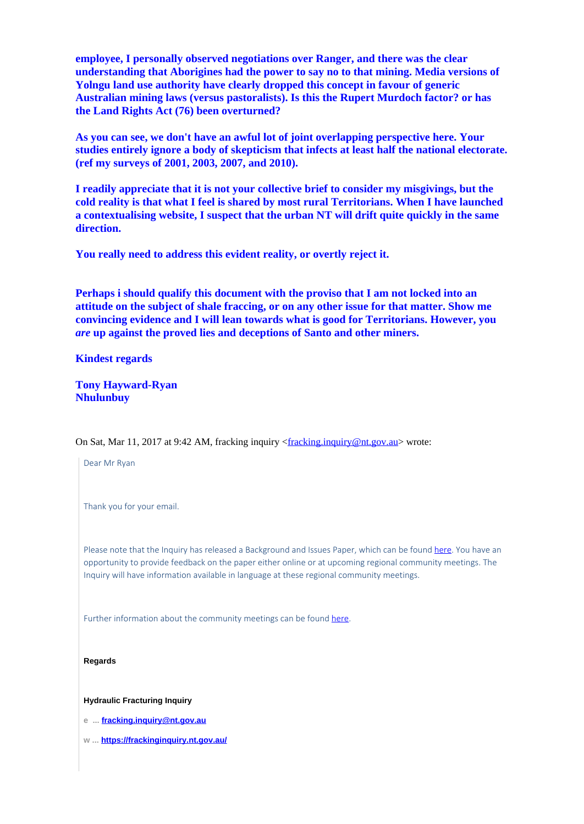**employee, I personally observed negotiations over Ranger, and there was the clear understanding that Aborigines had the power to say no to that mining. Media versions of Yolngu land use authority have clearly dropped this concept in favour of generic Australian mining laws (versus pastoralists). Is this the Rupert Murdoch factor? or has the Land Rights Act (76) been overturned?**

**As you can see, we don't have an awful lot of joint overlapping perspective here. Your studies entirely ignore a body of skepticism that infects at least half the national electorate. (ref my surveys of 2001, 2003, 2007, and 2010).**

**I readily appreciate that it is not your collective brief to consider my misgivings, but the cold reality is that what I feel is shared by most rural Territorians. When I have launched a contextualising website, I suspect that the urban NT will drift quite quickly in the same direction.**

**You really need to address this evident reality, or overtly reject it.**

**Perhaps i should qualify this document with the proviso that I am not locked into an attitude on the subject of shale fraccing, or on any other issue for that matter. Show me convincing evidence and I will lean towards what is good for Territorians. However, you** *are* **up against the proved lies and deceptions of Santo and other miners.**

**Kindest regards**

**Tony Hayward-Ryan Nhulunbuy**

On Sat, Mar 11, 2017 at 9:42 AM, fracking inquiry <fracking.inquiry@nt.gov.au> wrote:

Dear Mr Ryan Thank you for your email. Please note that the Inquiry has released a Background and Issues Paper, which can be found here. You have an opportunity to provide feedback on the paper either online or at upcoming regional community meetings. The Inquiry will have information available in language at these regional community meetings. Further information about the community meetings can be found here.

**Hydraulic Fracturing Inquiry**

**Regards**

**e ... fracking.inquiry@nt.gov.au**

**w ... https://frackinginquiry.nt.gov.au/**